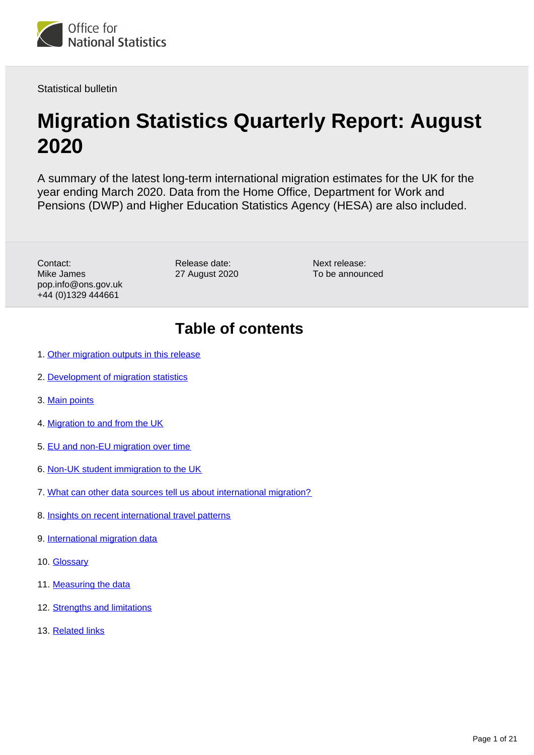

Statistical bulletin

# **Migration Statistics Quarterly Report: August 2020**

A summary of the latest long-term international migration estimates for the UK for the year ending March 2020. Data from the Home Office, Department for Work and Pensions (DWP) and Higher Education Statistics Agency (HESA) are also included.

Contact: Mike James pop.info@ons.gov.uk +44 (0)1329 444661

Release date: 27 August 2020 Next release: To be announced

## **Table of contents**

- 1. [Other migration outputs in this release](#page-1-0)
- 2. [Development of migration statistics](#page-1-1)
- 3. [Main points](#page-2-0)
- 4. [Migration to and from the UK](#page-2-1)
- 5. [EU and non-EU migration over time](#page-4-0)
- 6. [Non-UK student immigration to the UK](#page-7-0)
- 7. [What can other data sources tell us about international migration?](#page-10-0)
- 8. [Insights on recent international travel patterns](#page-11-0)
- 9. [International migration data](#page-14-0)
- 10. [Glossary](#page-15-0)
- 11. [Measuring the data](#page-16-0)
- 12. [Strengths and limitations](#page-18-0)
- 13. [Related links](#page-20-0)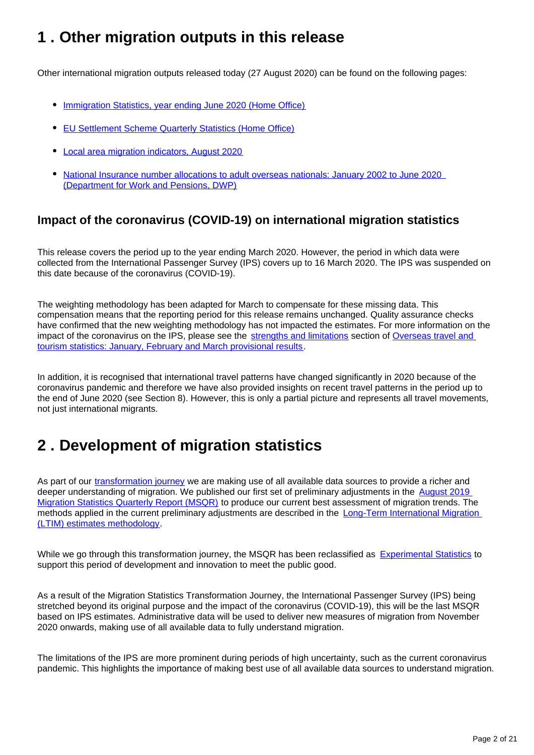## <span id="page-1-0"></span>**1 . Other migration outputs in this release**

Other international migration outputs released today (27 August 2020) can be found on the following pages:

- [Immigration Statistics, year ending June 2020 \(Home Office\)](https://www.gov.uk/government/statistics/immigration-statistics-year-ending-june-2020)
- [EU Settlement Scheme Quarterly Statistics \(Home Office\)](https://www.gov.uk/government/collections/eu-settlement-scheme-statistics)
- [Local area migration indicators, August 2020](https://www.ons.gov.uk/peoplepopulationandcommunity/populationandmigration/migrationwithintheuk/datasets/localareamigrationindicatorsunitedkingdom)
- [National Insurance number allocations to adult overseas nationals: January 2002 to June 2020](https://www.gov.uk/government/statistics/national-insurance-numbers-allocated-to-adult-overseas-nationals-to-june-2020)  [\(Department for Work and Pensions, DWP\)](https://www.gov.uk/government/statistics/national-insurance-numbers-allocated-to-adult-overseas-nationals-to-june-2020)

## **Impact of the coronavirus (COVID-19) on international migration statistics**

This release covers the period up to the year ending March 2020. However, the period in which data were collected from the International Passenger Survey (IPS) covers up to 16 March 2020. The IPS was suspended on this date because of the coronavirus (COVID-19).

The weighting methodology has been adapted for March to compensate for these missing data. This compensation means that the reporting period for this release remains unchanged. Quality assurance checks have confirmed that the new weighting methodology has not impacted the estimates. For more information on the impact of the coronavirus on the IPS, please see the [strengths and limitations](https://www.ons.gov.uk/peoplepopulationandcommunity/leisureandtourism/bulletins/overseastravelandtourism/januaryfebruaryandmarch2020provisionalresults#strengths-and-limitations) section of [Overseas travel and](https://www.ons.gov.uk/peoplepopulationandcommunity/leisureandtourism/bulletins/overseastravelandtourism/januaryfebruaryandmarch2020provisionalresults)  [tourism statistics: January, February and March provisional results](https://www.ons.gov.uk/peoplepopulationandcommunity/leisureandtourism/bulletins/overseastravelandtourism/januaryfebruaryandmarch2020provisionalresults).

In addition, it is recognised that international travel patterns have changed significantly in 2020 because of the coronavirus pandemic and therefore we have also provided insights on recent travel patterns in the period up to the end of June 2020 (see Section 8). However, this is only a partial picture and represents all travel movements, not just international migrants.

## <span id="page-1-1"></span>**2 . Development of migration statistics**

As part of our [transformation journey](https://www.ons.gov.uk/peoplepopulationandcommunity/populationandmigration/internationalmigration/articles/transformationofthepopulationandmigrationstatisticssystemoverview/2019-06-21) we are making use of all available data sources to provide a richer and deeper understanding of migration. We published our first set of preliminary adjustments in the August 2019 [Migration Statistics Quarterly Report \(MSQR\)](https://www.ons.gov.uk/peoplepopulationandcommunity/populationandmigration/internationalmigration/bulletins/migrationstatisticsquarterlyreport/august2019) to produce our current best assessment of migration trends. The methods applied in the current preliminary adjustments are described in the [Long-Term International Migration](https://www.ons.gov.uk/peoplepopulationandcommunity/populationandmigration/internationalmigration/methodologies/longterminternationalmigrationestimatesmethodology#provisional-and-final-estimates-of-long-term-international-migration)  [\(LTIM\) estimates methodology](https://www.ons.gov.uk/peoplepopulationandcommunity/populationandmigration/internationalmigration/methodologies/longterminternationalmigrationestimatesmethodology#provisional-and-final-estimates-of-long-term-international-migration).

While we go through this transformation journey, the MSQR has been reclassified as [Experimental Statistics](https://www.ons.gov.uk/news/statementsandletters/statementfromtheonsonthereclassificationofinternationalmigrationstatistics) to support this period of development and innovation to meet the public good.

As a result of the Migration Statistics Transformation Journey, the International Passenger Survey (IPS) being stretched beyond its original purpose and the impact of the coronavirus (COVID-19), this will be the last MSQR based on IPS estimates. Administrative data will be used to deliver new measures of migration from November 2020 onwards, making use of all available data to fully understand migration.

The limitations of the IPS are more prominent during periods of high uncertainty, such as the current coronavirus pandemic. This highlights the importance of making best use of all available data sources to understand migration.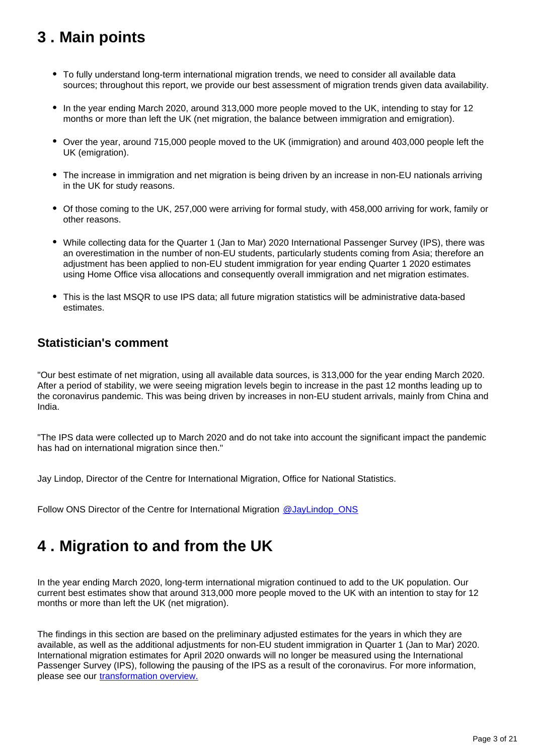## <span id="page-2-0"></span>**3 . Main points**

- To fully understand long-term international migration trends, we need to consider all available data sources; throughout this report, we provide our best assessment of migration trends given data availability.
- In the year ending March 2020, around 313,000 more people moved to the UK, intending to stay for 12 months or more than left the UK (net migration, the balance between immigration and emigration).
- Over the year, around 715,000 people moved to the UK (immigration) and around 403,000 people left the UK (emigration).
- The increase in immigration and net migration is being driven by an increase in non-EU nationals arriving in the UK for study reasons.
- Of those coming to the UK, 257,000 were arriving for formal study, with 458,000 arriving for work, family or other reasons.
- While collecting data for the Quarter 1 (Jan to Mar) 2020 International Passenger Survey (IPS), there was an overestimation in the number of non-EU students, particularly students coming from Asia; therefore an adjustment has been applied to non-EU student immigration for year ending Quarter 1 2020 estimates using Home Office visa allocations and consequently overall immigration and net migration estimates.
- This is the last MSQR to use IPS data; all future migration statistics will be administrative data-based estimates.

## **Statistician's comment**

"Our best estimate of net migration, using all available data sources, is 313,000 for the year ending March 2020. After a period of stability, we were seeing migration levels begin to increase in the past 12 months leading up to the coronavirus pandemic. This was being driven by increases in non-EU student arrivals, mainly from China and India.

"The IPS data were collected up to March 2020 and do not take into account the significant impact the pandemic has had on international migration since then."

Jay Lindop, Director of the Centre for International Migration, Office for National Statistics.

Follow ONS Director of the Centre for International Migration @JayLindop ONS

## <span id="page-2-1"></span>**4 . Migration to and from the UK**

In the year ending March 2020, long-term international migration continued to add to the UK population. Our current best estimates show that around 313,000 more people moved to the UK with an intention to stay for 12 months or more than left the UK (net migration).

The findings in this section are based on the preliminary adjusted estimates for the years in which they are available, as well as the additional adjustments for non-EU student immigration in Quarter 1 (Jan to Mar) 2020. International migration estimates for April 2020 onwards will no longer be measured using the International Passenger Survey (IPS), following the pausing of the IPS as a result of the coronavirus. For more information, please see our [transformation overview.](https://www.ons.gov.uk/peoplepopulationandcommunity/populationandmigration/internationalmigration/articles/transformationofthepopulationandmigrationstatisticssystemoverview/2019-06-21)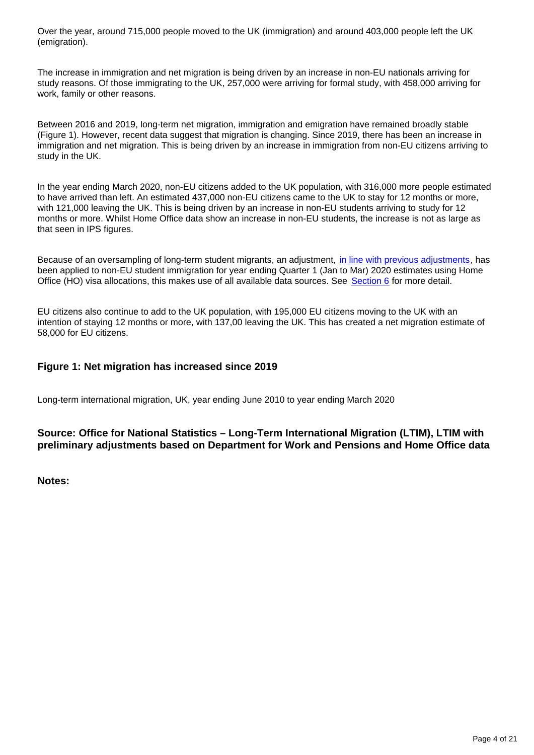Over the year, around 715,000 people moved to the UK (immigration) and around 403,000 people left the UK (emigration).

The increase in immigration and net migration is being driven by an increase in non-EU nationals arriving for study reasons. Of those immigrating to the UK, 257,000 were arriving for formal study, with 458,000 arriving for work, family or other reasons.

Between 2016 and 2019, long-term net migration, immigration and emigration have remained broadly stable (Figure 1). However, recent data suggest that migration is changing. Since 2019, there has been an increase in immigration and net migration. This is being driven by an increase in immigration from non-EU citizens arriving to study in the UK.

In the year ending March 2020, non-EU citizens added to the UK population, with 316,000 more people estimated to have arrived than left. An estimated 437,000 non-EU citizens came to the UK to stay for 12 months or more, with 121,000 leaving the UK. This is being driven by an increase in non-EU students arriving to study for 12 months or more. Whilst Home Office data show an increase in non-EU students, the increase is not as large as that seen in IPS figures.

Because of an oversampling of long-term student migrants, an adjustment, [in line with previous adjustments,](https://www.ons.gov.uk/peoplepopulationandcommunity/populationandmigration/internationalmigration/methodologies/guidancenoteforrevisingofficiallongtermnoneustudentmigrationestimatesyearendingseptember2016#methodology) has been applied to non-EU student immigration for year ending Quarter 1 (Jan to Mar) 2020 estimates using Home Office (HO) visa allocations, this makes use of all available data sources. See [Section 6](https://www.ons.gov.uk/peoplepopulationandcommunity/populationandmigration/internationalmigration/bulletins/migrationstatisticsquarterlyreport/august2020#non-uk-student-immigration-to-the-uk) for more detail.

EU citizens also continue to add to the UK population, with 195,000 EU citizens moving to the UK with an intention of staying 12 months or more, with 137,00 leaving the UK. This has created a net migration estimate of 58,000 for EU citizens.

#### **Figure 1: Net migration has increased since 2019**

Long-term international migration, UK, year ending June 2010 to year ending March 2020

#### **Source: Office for National Statistics – Long-Term International Migration (LTIM), LTIM with preliminary adjustments based on Department for Work and Pensions and Home Office data**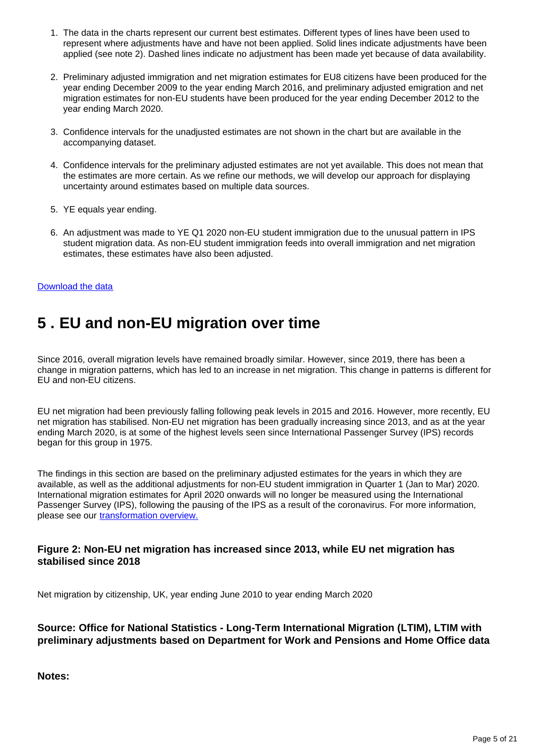- 1. The data in the charts represent our current best estimates. Different types of lines have been used to represent where adjustments have and have not been applied. Solid lines indicate adjustments have been applied (see note 2). Dashed lines indicate no adjustment has been made yet because of data availability.
- 2. Preliminary adjusted immigration and net migration estimates for EU8 citizens have been produced for the year ending December 2009 to the year ending March 2016, and preliminary adjusted emigration and net migration estimates for non-EU students have been produced for the year ending December 2012 to the year ending March 2020.
- 3. Confidence intervals for the unadjusted estimates are not shown in the chart but are available in the accompanying dataset.
- 4. Confidence intervals for the preliminary adjusted estimates are not yet available. This does not mean that the estimates are more certain. As we refine our methods, we will develop our approach for displaying uncertainty around estimates based on multiple data sources.
- 5. YE equals year ending.
- 6. An adjustment was made to YE Q1 2020 non-EU student immigration due to the unusual pattern in IPS student migration data. As non-EU student immigration feeds into overall immigration and net migration estimates, these estimates have also been adjusted.

#### [Download the data](https://www.ons.gov.uk/visualisations/dvc953/fig1/line/datadownload.xlsx)

## <span id="page-4-0"></span>**5 . EU and non-EU migration over time**

Since 2016, overall migration levels have remained broadly similar. However, since 2019, there has been a change in migration patterns, which has led to an increase in net migration. This change in patterns is different for EU and non-EU citizens.

EU net migration had been previously falling following peak levels in 2015 and 2016. However, more recently, EU net migration has stabilised. Non-EU net migration has been gradually increasing since 2013, and as at the year ending March 2020, is at some of the highest levels seen since International Passenger Survey (IPS) records began for this group in 1975.

The findings in this section are based on the preliminary adjusted estimates for the years in which they are available, as well as the additional adjustments for non-EU student immigration in Quarter 1 (Jan to Mar) 2020. International migration estimates for April 2020 onwards will no longer be measured using the International Passenger Survey (IPS), following the pausing of the IPS as a result of the coronavirus. For more information, please see our [transformation overview.](https://www.ons.gov.uk/peoplepopulationandcommunity/populationandmigration/internationalmigration/articles/transformationofthepopulationandmigrationstatisticssystemoverview/2019-06-21)

#### **Figure 2: Non-EU net migration has increased since 2013, while EU net migration has stabilised since 2018**

Net migration by citizenship, UK, year ending June 2010 to year ending March 2020

#### **Source: Office for National Statistics - Long-Term International Migration (LTIM), LTIM with preliminary adjustments based on Department for Work and Pensions and Home Office data**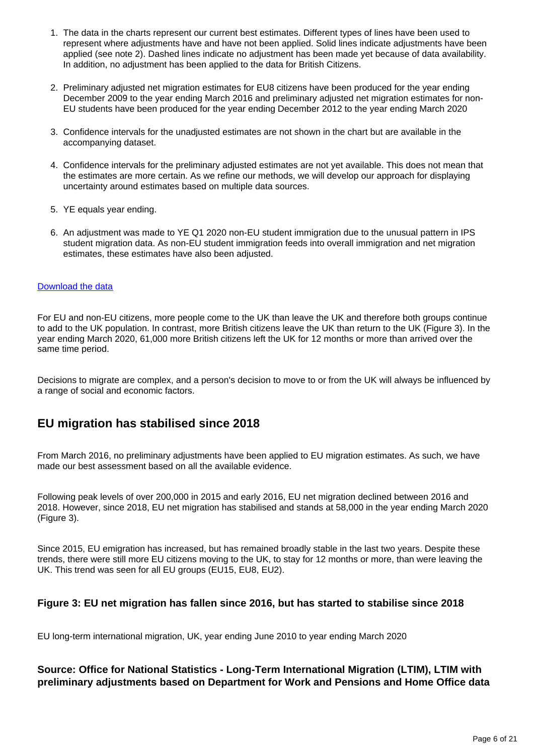- 1. The data in the charts represent our current best estimates. Different types of lines have been used to represent where adjustments have and have not been applied. Solid lines indicate adjustments have been applied (see note 2). Dashed lines indicate no adjustment has been made yet because of data availability. In addition, no adjustment has been applied to the data for British Citizens.
- 2. Preliminary adjusted net migration estimates for EU8 citizens have been produced for the year ending December 2009 to the year ending March 2016 and preliminary adjusted net migration estimates for non-EU students have been produced for the year ending December 2012 to the year ending March 2020
- 3. Confidence intervals for the unadjusted estimates are not shown in the chart but are available in the accompanying dataset.
- 4. Confidence intervals for the preliminary adjusted estimates are not yet available. This does not mean that the estimates are more certain. As we refine our methods, we will develop our approach for displaying uncertainty around estimates based on multiple data sources.
- 5. YE equals year ending.
- 6. An adjustment was made to YE Q1 2020 non-EU student immigration due to the unusual pattern in IPS student migration data. As non-EU student immigration feeds into overall immigration and net migration estimates, these estimates have also been adjusted.

#### [Download the data](https://www.ons.gov.uk/visualisations/dvc953/fig2/line/datadownload.xlsx)

For EU and non-EU citizens, more people come to the UK than leave the UK and therefore both groups continue to add to the UK population. In contrast, more British citizens leave the UK than return to the UK (Figure 3). In the year ending March 2020, 61,000 more British citizens left the UK for 12 months or more than arrived over the same time period.

Decisions to migrate are complex, and a person's decision to move to or from the UK will always be influenced by a range of social and economic factors.

### **EU migration has stabilised since 2018**

From March 2016, no preliminary adjustments have been applied to EU migration estimates. As such, we have made our best assessment based on all the available evidence.

Following peak levels of over 200,000 in 2015 and early 2016, EU net migration declined between 2016 and 2018. However, since 2018, EU net migration has stabilised and stands at 58,000 in the year ending March 2020 (Figure 3).

Since 2015, EU emigration has increased, but has remained broadly stable in the last two years. Despite these trends, there were still more EU citizens moving to the UK, to stay for 12 months or more, than were leaving the UK. This trend was seen for all EU groups (EU15, EU8, EU2).

#### **Figure 3: EU net migration has fallen since 2016, but has started to stabilise since 2018**

EU long-term international migration, UK, year ending June 2010 to year ending March 2020

#### **Source: Office for National Statistics - Long-Term International Migration (LTIM), LTIM with preliminary adjustments based on Department for Work and Pensions and Home Office data**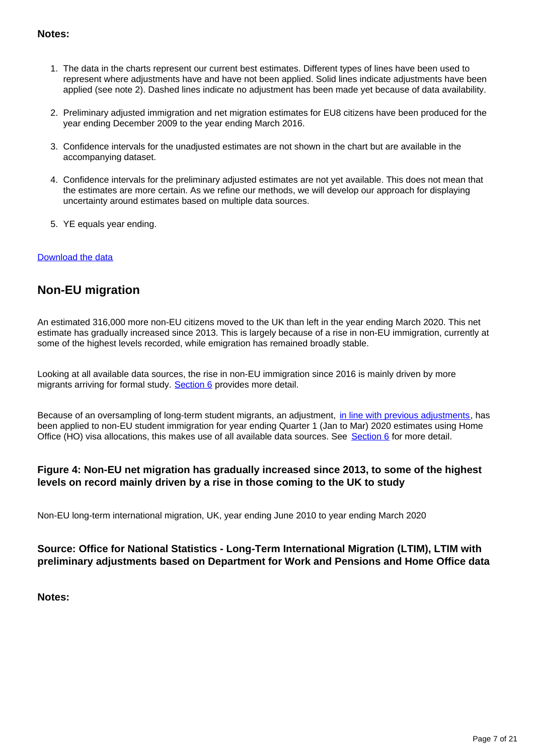#### **Notes:**

- 1. The data in the charts represent our current best estimates. Different types of lines have been used to represent where adjustments have and have not been applied. Solid lines indicate adjustments have been applied (see note 2). Dashed lines indicate no adjustment has been made yet because of data availability.
- 2. Preliminary adjusted immigration and net migration estimates for EU8 citizens have been produced for the year ending December 2009 to the year ending March 2016.
- 3. Confidence intervals for the unadjusted estimates are not shown in the chart but are available in the accompanying dataset.
- 4. Confidence intervals for the preliminary adjusted estimates are not yet available. This does not mean that the estimates are more certain. As we refine our methods, we will develop our approach for displaying uncertainty around estimates based on multiple data sources.
- 5. YE equals year ending.

#### [Download the data](https://www.ons.gov.uk/visualisations/dvc953/fig3/line/datadownload.xlsx)

## **Non-EU migration**

An estimated 316,000 more non-EU citizens moved to the UK than left in the year ending March 2020. This net estimate has gradually increased since 2013. This is largely because of a rise in non-EU immigration, currently at some of the highest levels recorded, while emigration has remained broadly stable.

Looking at all available data sources, the rise in non-EU immigration since 2016 is mainly driven by more migrants arriving for formal study. [Section 6](https://www.ons.gov.uk/peoplepopulationandcommunity/populationandmigration/internationalmigration/bulletins/migrationstatisticsquarterlyreport/august2020#non-uk-student-immigration-to-the-uk) provides more detail.

Because of an oversampling of long-term student migrants, an adjustment, [in line with previous adjustments,](https://www.ons.gov.uk/peoplepopulationandcommunity/populationandmigration/internationalmigration/methodologies/guidancenoteforrevisingofficiallongtermnoneustudentmigrationestimatesyearendingseptember2016#methodology) has been applied to non-EU student immigration for year ending Quarter 1 (Jan to Mar) 2020 estimates using Home Office (HO) visa allocations, this makes use of all available data sources. See [Section 6](https://www.ons.gov.uk/peoplepopulationandcommunity/populationandmigration/internationalmigration/bulletins/migrationstatisticsquarterlyreport/august2020#non-uk-student-immigration-to-the-uk) for more detail.

#### **Figure 4: Non-EU net migration has gradually increased since 2013, to some of the highest levels on record mainly driven by a rise in those coming to the UK to study**

Non-EU long-term international migration, UK, year ending June 2010 to year ending March 2020

#### **Source: Office for National Statistics - Long-Term International Migration (LTIM), LTIM with preliminary adjustments based on Department for Work and Pensions and Home Office data**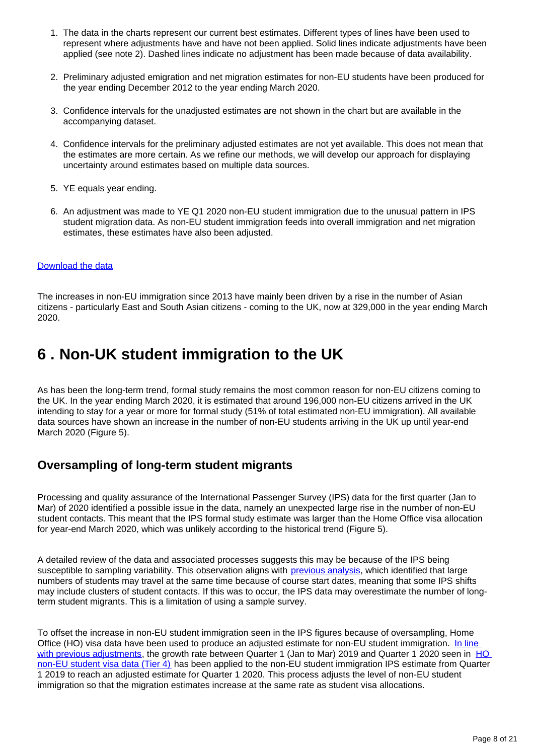- 1. The data in the charts represent our current best estimates. Different types of lines have been used to represent where adjustments have and have not been applied. Solid lines indicate adjustments have been applied (see note 2). Dashed lines indicate no adjustment has been made because of data availability.
- 2. Preliminary adjusted emigration and net migration estimates for non-EU students have been produced for the year ending December 2012 to the year ending March 2020.
- 3. Confidence intervals for the unadjusted estimates are not shown in the chart but are available in the accompanying dataset.
- 4. Confidence intervals for the preliminary adjusted estimates are not yet available. This does not mean that the estimates are more certain. As we refine our methods, we will develop our approach for displaying uncertainty around estimates based on multiple data sources.
- 5. YE equals year ending.
- 6. An adjustment was made to YE Q1 2020 non-EU student immigration due to the unusual pattern in IPS student migration data. As non-EU student immigration feeds into overall immigration and net migration estimates, these estimates have also been adjusted.

#### [Download the data](https://www.ons.gov.uk/visualisations/dvc953/fig4/line/datadownload.xlsx)

The increases in non-EU immigration since 2013 have mainly been driven by a rise in the number of Asian citizens - particularly East and South Asian citizens - coming to the UK, now at 329,000 in the year ending March 2020.

## <span id="page-7-0"></span>**6 . Non-UK student immigration to the UK**

As has been the long-term trend, formal study remains the most common reason for non-EU citizens coming to the UK. In the year ending March 2020, it is estimated that around 196,000 non-EU citizens arrived in the UK intending to stay for a year or more for formal study (51% of total estimated non-EU immigration). All available data sources have shown an increase in the number of non-EU students arriving in the UK up until year-end March 2020 (Figure 5).

### **Oversampling of long-term student migrants**

Processing and quality assurance of the International Passenger Survey (IPS) data for the first quarter (Jan to Mar) of 2020 identified a possible issue in the data, namely an unexpected large rise in the number of non-EU student contacts. This meant that the IPS formal study estimate was larger than the Home Office visa allocation for year-end March 2020, which was unlikely according to the historical trend (Figure 5).

A detailed review of the data and associated processes suggests this may be because of the IPS being susceptible to sampling variability. This observation aligns with [previous analysis](https://www.ons.gov.uk/peoplepopulationandcommunity/populationandmigration/internationalmigration/bulletins/migrationstatisticsquarterlyreport/july2018revisedfrommaycoveringtheperiodtodecember2017), which identified that large numbers of students may travel at the same time because of course start dates, meaning that some IPS shifts may include clusters of student contacts. If this was to occur, the IPS data may overestimate the number of longterm student migrants. This is a limitation of using a sample survey.

To offset the increase in non-EU student immigration seen in the IPS figures because of oversampling, Home Office (HO) visa data have been used to produce an adjusted estimate for non-EU student immigration. In line [with previous adjustments](https://www.ons.gov.uk/peoplepopulationandcommunity/populationandmigration/internationalmigration/methodologies/guidancenoteforrevisingofficiallongtermnoneustudentmigrationestimatesyearendingseptember2016#methodology), the growth rate between Quarter 1 (Jan to Mar) 2019 and Quarter 1 2020 seen in HO [non-EU student visa data \(Tier 4\)](https://www.gov.uk/government/publications/immigration-statistics-year-ending-march-2020/why-do-people-come-to-the-uk-to-study) has been applied to the non-EU student immigration IPS estimate from Quarter 1 2019 to reach an adjusted estimate for Quarter 1 2020. This process adjusts the level of non-EU student immigration so that the migration estimates increase at the same rate as student visa allocations.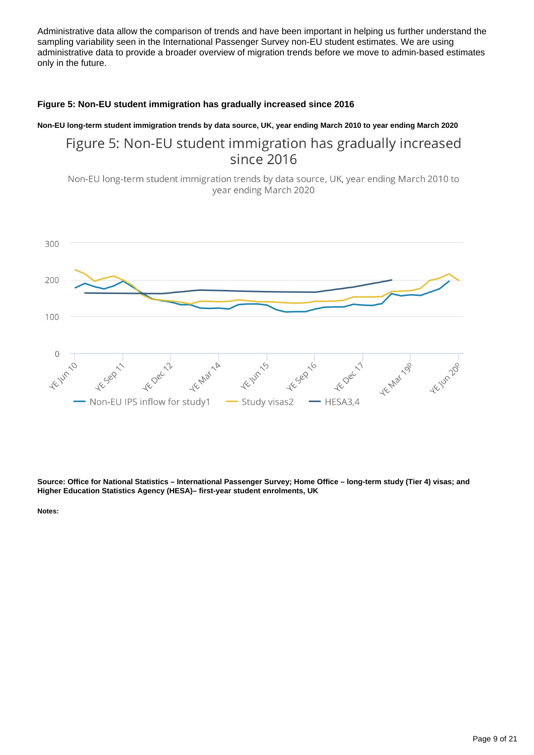Administrative data allow the comparison of trends and have been important in helping us further understand the sampling variability seen in the International Passenger Survey non-EU student estimates. We are using administrative data to provide a broader overview of migration trends before we move to admin-based estimates only in the future.

#### **Figure 5: Non-EU student immigration has gradually increased since 2016**

**Non-EU long-term student immigration trends by data source, UK, year ending March 2010 to year ending March 2020**

## Figure 5: Non-EU student immigration has gradually increased since 2016

Non-EU long-term student immigration trends by data source, UK, year ending March 2010 to year ending March 2020



**Source: Office for National Statistics – International Passenger Survey; Home Office – long-term study (Tier 4) visas; and Higher Education Statistics Agency (HESA)– first-year student enrolments, UK**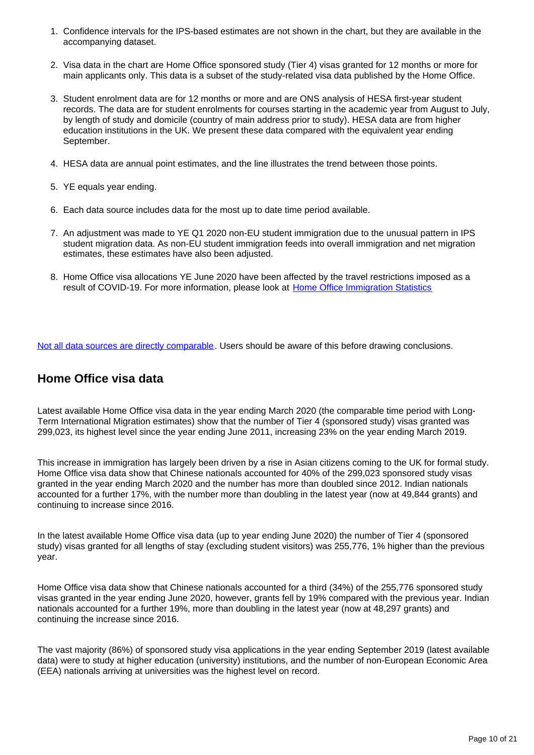- 1. Confidence intervals for the IPS-based estimates are not shown in the chart, but they are available in the accompanying dataset.
- 2. Visa data in the chart are Home Office sponsored study (Tier 4) visas granted for 12 months or more for main applicants only. This data is a subset of the study-related visa data published by the Home Office.
- 3. Student enrolment data are for 12 months or more and are ONS analysis of HESA first-year student records. The data are for student enrolments for courses starting in the academic year from August to July, by length of study and domicile (country of main address prior to study). HESA data are from higher education institutions in the UK. We present these data compared with the equivalent year ending September.
- 4. HESA data are annual point estimates, and the line illustrates the trend between those points.
- 5. YE equals year ending.
- 6. Each data source includes data for the most up to date time period available.
- 7. An adjustment was made to YE Q1 2020 non-EU student immigration due to the unusual pattern in IPS student migration data. As non-EU student immigration feeds into overall immigration and net migration estimates, these estimates have also been adjusted.
- 8. Home Office visa allocations YE June 2020 have been affected by the travel restrictions imposed as a result of COVID-19. For more information, please look at [Home Office Immigration Statistics](https://www.gov.uk/government/statistics/announcements/immigration-statistics-year-ending-june-2020)

[Not all data sources are directly comparable](https://www.ons.gov.uk/peoplepopulationandcommunity/populationandmigration/internationalmigration/articles/understandingdifferentmigrationdatasources/augustprogressreport). Users should be aware of this before drawing conclusions.

### **Home Office visa data**

Latest available Home Office visa data in the year ending March 2020 (the comparable time period with Long-Term International Migration estimates) show that the number of Tier 4 (sponsored study) visas granted was 299,023, its highest level since the year ending June 2011, increasing 23% on the year ending March 2019.

This increase in immigration has largely been driven by a rise in Asian citizens coming to the UK for formal study. Home Office visa data show that Chinese nationals accounted for 40% of the 299,023 sponsored study visas granted in the year ending March 2020 and the number has more than doubled since 2012. Indian nationals accounted for a further 17%, with the number more than doubling in the latest year (now at 49,844 grants) and continuing to increase since 2016.

In the latest available Home Office visa data (up to year ending June 2020) the number of Tier 4 (sponsored study) visas granted for all lengths of stay (excluding student visitors) was 255,776, 1% higher than the previous year.

Home Office visa data show that Chinese nationals accounted for a third (34%) of the 255,776 sponsored study visas granted in the year ending June 2020, however, grants fell by 19% compared with the previous year. Indian nationals accounted for a further 19%, more than doubling in the latest year (now at 48,297 grants) and continuing the increase since 2016.

The vast majority (86%) of sponsored study visa applications in the year ending September 2019 (latest available data) were to study at higher education (university) institutions, and the number of non-European Economic Area (EEA) nationals arriving at universities was the highest level on record.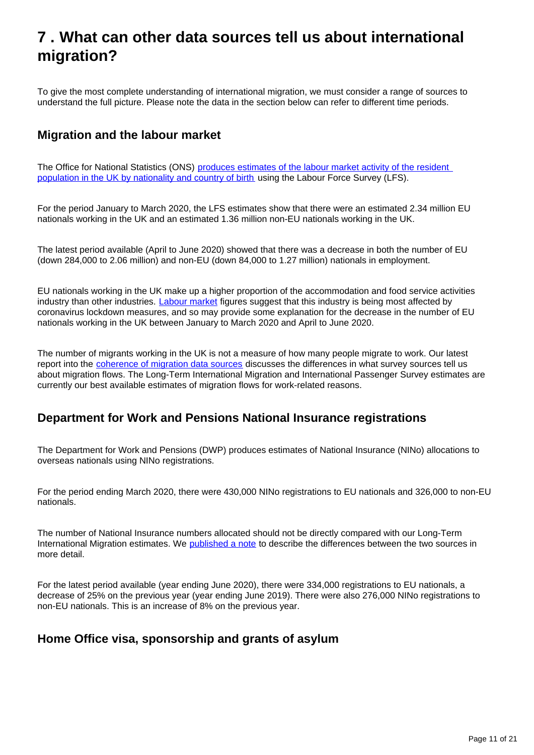## <span id="page-10-0"></span>**7 . What can other data sources tell us about international migration?**

To give the most complete understanding of international migration, we must consider a range of sources to understand the full picture. Please note the data in the section below can refer to different time periods.

## **Migration and the labour market**

The Office for National Statistics (ONS) produces estimates of the labour market activity of the resident [population in the UK by nationality and country of birth](https://www.ons.gov.uk/employmentandlabourmarket/peopleinwork/employmentandemployeetypes/bulletins/employmentintheuk/august2020) using the Labour Force Survey (LFS).

For the period January to March 2020, the LFS estimates show that there were an estimated 2.34 million EU nationals working in the UK and an estimated 1.36 million non-EU nationals working in the UK.

The latest period available (April to June 2020) showed that there was a decrease in both the number of EU (down 284,000 to 2.06 million) and non-EU (down 84,000 to 1.27 million) nationals in employment.

EU nationals working in the UK make up a higher proportion of the accommodation and food service activities industry than other industries. [Labour market](https://www.ons.gov.uk/employmentandlabourmarket/peopleinwork/employmentandemployeetypes/bulletins/employmentintheuk/august2020) figures suggest that this industry is being most affected by coronavirus lockdown measures, and so may provide some explanation for the decrease in the number of EU nationals working in the UK between January to March 2020 and April to June 2020.

The number of migrants working in the UK is not a measure of how many people migrate to work. Our latest report into the [coherence of migration data sources](https://www.ons.gov.uk/peoplepopulationandcommunity/populationandmigration/internationalmigration/articles/understandingdifferentmigrationdatasources/augustprogressreport) discusses the differences in what survey sources tell us about migration flows. The Long-Term International Migration and International Passenger Survey estimates are currently our best available estimates of migration flows for work-related reasons.

### **Department for Work and Pensions National Insurance registrations**

The Department for Work and Pensions (DWP) produces estimates of National Insurance (NINo) allocations to overseas nationals using NINo registrations.

For the period ending March 2020, there were 430,000 NINo registrations to EU nationals and 326,000 to non-EU nationals.

The number of National Insurance numbers allocated should not be directly compared with our Long-Term International Migration estimates. We [published a note](https://www.ons.gov.uk/peoplepopulationandcommunity/populationandmigration/internationalmigration/articles/noteonthedifferencebetweennationalinsurancenumberregistrationsandtheestimateoflongterminternationalmigration/2016) to describe the differences between the two sources in more detail.

For the latest period available (year ending June 2020), there were 334,000 registrations to EU nationals, a decrease of 25% on the previous year (year ending June 2019). There were also 276,000 NINo registrations to non-EU nationals. This is an increase of 8% on the previous year.

## **Home Office visa, sponsorship and grants of asylum**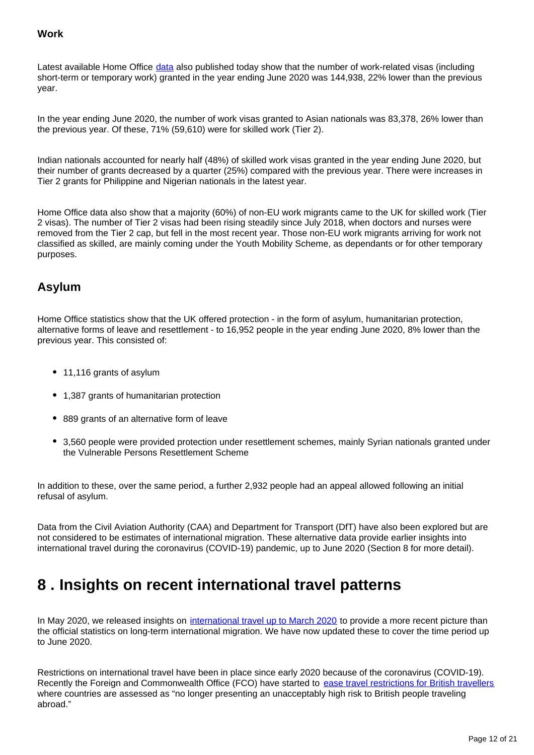#### **Work**

Latest available Home Office [data](http://www.gov.uk/government/statistics/immigration-statistics-year-ending-june-2020) also published today show that the number of work-related visas (including short-term or temporary work) granted in the year ending June 2020 was 144,938, 22% lower than the previous year.

In the year ending June 2020, the number of work visas granted to Asian nationals was 83,378, 26% lower than the previous year. Of these, 71% (59,610) were for skilled work (Tier 2).

Indian nationals accounted for nearly half (48%) of skilled work visas granted in the year ending June 2020, but their number of grants decreased by a quarter (25%) compared with the previous year. There were increases in Tier 2 grants for Philippine and Nigerian nationals in the latest year.

Home Office data also show that a majority (60%) of non-EU work migrants came to the UK for skilled work (Tier 2 visas). The number of Tier 2 visas had been rising steadily since July 2018, when doctors and nurses were removed from the Tier 2 cap, but fell in the most recent year. Those non-EU work migrants arriving for work not classified as skilled, are mainly coming under the Youth Mobility Scheme, as dependants or for other temporary purposes.

## **Asylum**

Home Office statistics show that the UK offered protection - in the form of asylum, humanitarian protection, alternative forms of leave and resettlement - to 16,952 people in the year ending June 2020, 8% lower than the previous year. This consisted of:

- 11,116 grants of asylum
- 1,387 grants of humanitarian protection
- 889 grants of an alternative form of leave
- 3,560 people were provided protection under resettlement schemes, mainly Syrian nationals granted under the Vulnerable Persons Resettlement Scheme

In addition to these, over the same period, a further 2,932 people had an appeal allowed following an initial refusal of asylum.

Data from the Civil Aviation Authority (CAA) and Department for Transport (DfT) have also been explored but are not considered to be estimates of international migration. These alternative data provide earlier insights into international travel during the coronavirus (COVID-19) pandemic, up to June 2020 (Section 8 for more detail).

## <span id="page-11-0"></span>**8 . Insights on recent international travel patterns**

In May 2020, we released insights on [international travel up to March 2020](http://www.ons.gov.uk/peoplepopulationandcommunity/populationandmigration/internationalmigration/bulletins/migrationstatisticsquarterlyreport/may2020#insights-on-recent-international-travel-patterns) to provide a more recent picture than the official statistics on long-term international migration. We have now updated these to cover the time period up to June 2020.

Restrictions on international travel have been in place since early 2020 because of the coronavirus (COVID-19). Recently the Foreign and Commonwealth Office (FCO) have started to [ease travel restrictions for British travellers](http://www.gov.uk/guidance/coronavirus-covid-19-countries-and-territories-exempt-from-advice-against-all-but-essential-international-travel) where countries are assessed as "no longer presenting an unacceptably high risk to British people traveling abroad."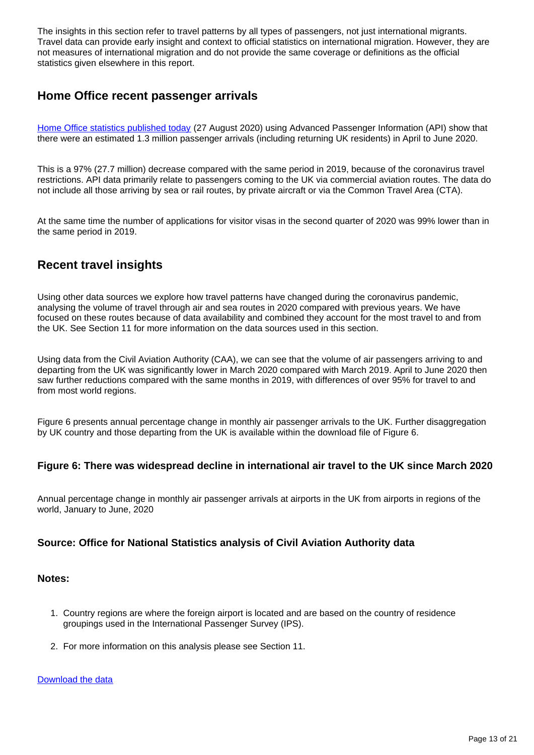The insights in this section refer to travel patterns by all types of passengers, not just international migrants. Travel data can provide early insight and context to official statistics on international migration. However, they are not measures of international migration and do not provide the same coverage or definitions as the official statistics given elsewhere in this report.

### **Home Office recent passenger arrivals**

[Home Office statistics published today](https://www.gov.uk/government/publications/immigration-statistics-year-ending-june-2020/how-many-people-come-to-the-uk-each-year-including-visitors) (27 August 2020) using Advanced Passenger Information (API) show that there were an estimated 1.3 million passenger arrivals (including returning UK residents) in April to June 2020.

This is a 97% (27.7 million) decrease compared with the same period in 2019, because of the coronavirus travel restrictions. API data primarily relate to passengers coming to the UK via commercial aviation routes. The data do not include all those arriving by sea or rail routes, by private aircraft or via the Common Travel Area (CTA).

At the same time the number of applications for visitor visas in the second quarter of 2020 was 99% lower than in the same period in 2019.

## **Recent travel insights**

Using other data sources we explore how travel patterns have changed during the coronavirus pandemic, analysing the volume of travel through air and sea routes in 2020 compared with previous years. We have focused on these routes because of data availability and combined they account for the most travel to and from the UK. See Section 11 for more information on the data sources used in this section.

Using data from the Civil Aviation Authority (CAA), we can see that the volume of air passengers arriving to and departing from the UK was significantly lower in March 2020 compared with March 2019. April to June 2020 then saw further reductions compared with the same months in 2019, with differences of over 95% for travel to and from most world regions.

Figure 6 presents annual percentage change in monthly air passenger arrivals to the UK. Further disaggregation by UK country and those departing from the UK is available within the download file of Figure 6.

#### **Figure 6: There was widespread decline in international air travel to the UK since March 2020**

Annual percentage change in monthly air passenger arrivals at airports in the UK from airports in regions of the world, January to June, 2020

#### **Source: Office for National Statistics analysis of Civil Aviation Authority data**

#### **Notes:**

- 1. Country regions are where the foreign airport is located and are based on the country of residence groupings used in the International Passenger Survey (IPS).
- 2. For more information on this analysis please see Section 11.

#### [Download the data](https://www.ons.gov.uk/visualisations/dvc953/fig6/datadownload.xlsx)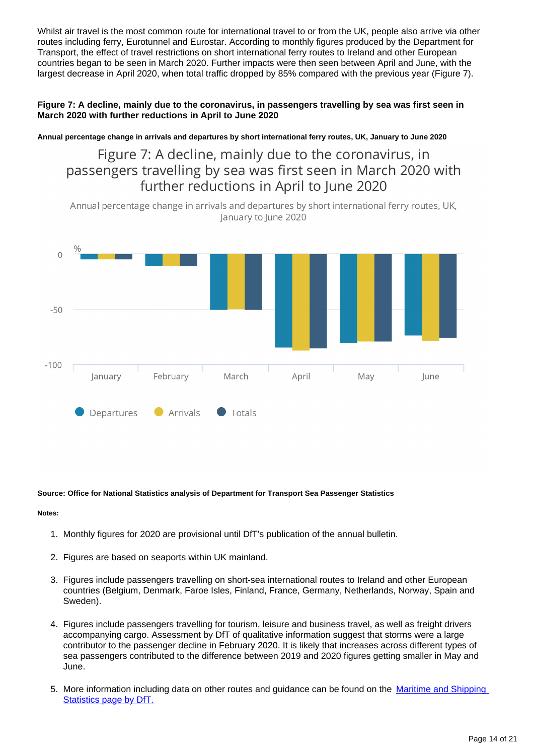Whilst air travel is the most common route for international travel to or from the UK, people also arrive via other routes including ferry, Eurotunnel and Eurostar. According to monthly figures produced by the Department for Transport, the effect of travel restrictions on short international ferry routes to Ireland and other European countries began to be seen in March 2020. Further impacts were then seen between April and June, with the largest decrease in April 2020, when total traffic dropped by 85% compared with the previous year (Figure 7).

#### **Figure 7: A decline, mainly due to the coronavirus, in passengers travelling by sea was first seen in March 2020 with further reductions in April to June 2020**

**Annual percentage change in arrivals and departures by short international ferry routes, UK, January to June 2020**

Figure 7: A decline, mainly due to the coronavirus, in passengers travelling by sea was first seen in March 2020 with further reductions in April to June 2020

Annual percentage change in arrivals and departures by short international ferry routes, UK, lanuary to lune 2020



#### **Source: Office for National Statistics analysis of Department for Transport Sea Passenger Statistics**

- 1. Monthly figures for 2020 are provisional until DfT's publication of the annual bulletin.
- 2. Figures are based on seaports within UK mainland.
- 3. Figures include passengers travelling on short-sea international routes to Ireland and other European countries (Belgium, Denmark, Faroe Isles, Finland, France, Germany, Netherlands, Norway, Spain and Sweden).
- 4. Figures include passengers travelling for tourism, leisure and business travel, as well as freight drivers accompanying cargo. Assessment by DfT of qualitative information suggest that storms were a large contributor to the passenger decline in February 2020. It is likely that increases across different types of sea passengers contributed to the difference between 2019 and 2020 figures getting smaller in May and June.
- 5. More information including data on other routes and guidance can be found on the Maritime and Shipping [Statistics page by DfT.](https://www.gov.uk/government/collections/maritime-and-shipping-statistics)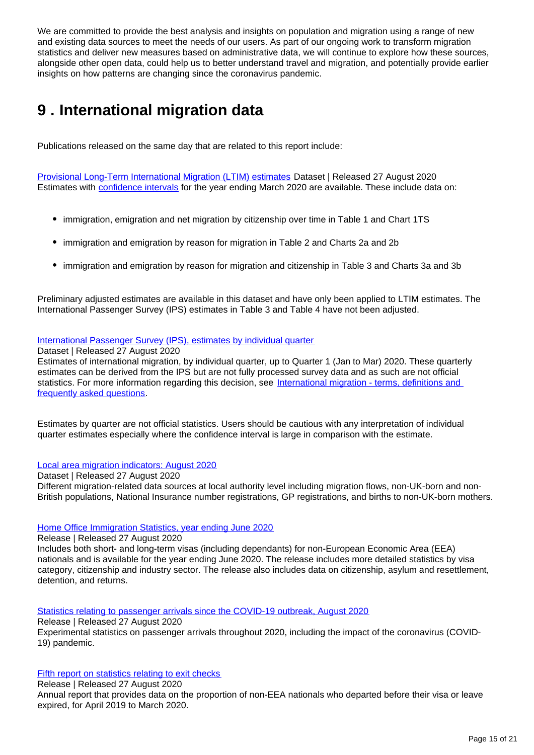We are committed to provide the best analysis and insights on population and migration using a range of new and existing data sources to meet the needs of our users. As part of our ongoing work to transform migration statistics and deliver new measures based on administrative data, we will continue to explore how these sources, alongside other open data, could help us to better understand travel and migration, and potentially provide earlier insights on how patterns are changing since the coronavirus pandemic.

## <span id="page-14-0"></span>**9 . International migration data**

Publications released on the same day that are related to this report include:

[Provisional Long-Term International Migration \(LTIM\) estimates](https://www.ons.gov.uk/peoplepopulationandcommunity/populationandmigration/internationalmigration/datasets/migrationstatisticsquarterlyreportprovisionallongterminternationalmigrationltimestimates) Dataset | Released 27 August 2020 Estimates with **[confidence intervals](https://www.ons.gov.uk/methodology/methodologytopicsandstatisticalconcepts/uncertaintyandhowwemeasureit#confidence-interval)** for the year ending March 2020 are available. These include data on:

- immigration, emigration and net migration by citizenship over time in Table 1 and Chart 1TS
- immigration and emigration by reason for migration in Table 2 and Charts 2a and 2b
- immigration and emigration by reason for migration and citizenship in Table 3 and Charts 3a and 3b

Preliminary adjusted estimates are available in this dataset and have only been applied to LTIM estimates. The International Passenger Survey (IPS) estimates in Table 3 and Table 4 have not been adjusted.

#### [International Passenger Survey \(IPS\), estimates by individual quarter](https://www.ons.gov.uk/peoplepopulationandcommunity/populationandmigration/internationalmigration/datasets/estimatesoflongterminternationalmigrationbyquarterderivedfromtheinternationalpassengersurvey)

#### Dataset | Released 27 August 2020

Estimates of international migration, by individual quarter, up to Quarter 1 (Jan to Mar) 2020. These quarterly estimates can be derived from the IPS but are not fully processed survey data and as such are not official statistics. For more information regarding this decision, see International migration - terms, definitions and [frequently asked questions](https://www.ons.gov.uk/peoplepopulationandcommunity/populationandmigration/internationalmigration/methodologies/longterminternationalmigrationfrequentlyaskedquestionsandbackgroundnotes#why-have-the-individual-quarter-estimates-been-labelled-as-not-official-statistics).

Estimates by quarter are not official statistics. Users should be cautious with any interpretation of individual quarter estimates especially where the confidence interval is large in comparison with the estimate.

#### [Local area migration indicators: August 2020](https://www.ons.gov.uk/peoplepopulationandcommunity/populationandmigration/migrationwithintheuk/datasets/localareamigrationindicatorsunitedkingdom)

#### Dataset | Released 27 August 2020

Different migration-related data sources at local authority level including migration flows, non-UK-born and non-British populations, National Insurance number registrations, GP registrations, and births to non-UK-born mothers.

#### [Home Office Immigration Statistics, year ending June 2020](https://www.gov.uk/government/statistics/immigration-statistics-year-ending-june-2020)

Release | Released 27 August 2020

Includes both short- and long-term visas (including dependants) for non-European Economic Area (EEA) nationals and is available for the year ending June 2020. The release includes more detailed statistics by visa category, citizenship and industry sector. The release also includes data on citizenship, asylum and resettlement, detention, and returns.

#### [Statistics relating to passenger arrivals since the COVID-19 outbreak, August 2020](http://www.gov.uk/government/statistics/announcements/statistics-relating-to-passenger-arrivals-since-the-covid-19-outbreak-august-2020)

#### Release | Released 27 August 2020

Experimental statistics on passenger arrivals throughout 2020, including the impact of the coronavirus (COVID-19) pandemic.

#### [Fifth report on statistics relating to exit checks](http://www.gov.uk/government/statistics/announcements/fifth-report-on-statistics-relating-to-exit-checks)

Release | Released 27 August 2020

Annual report that provides data on the proportion of non-EEA nationals who departed before their visa or leave expired, for April 2019 to March 2020.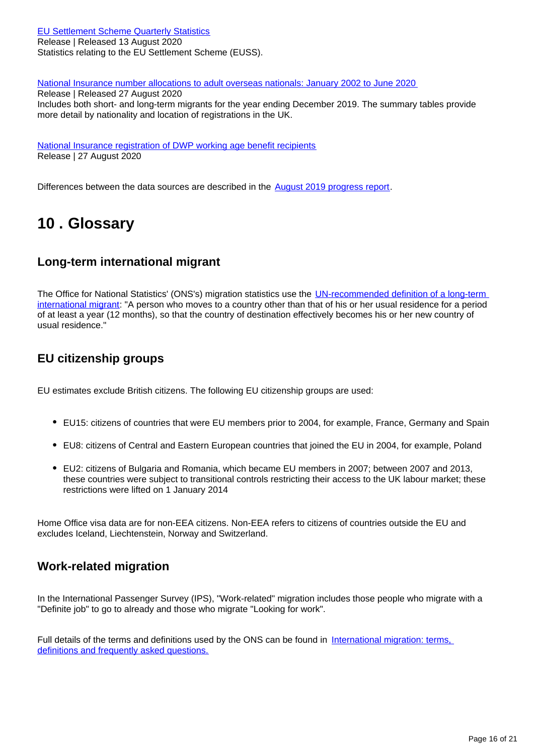[EU Settlement Scheme Quarterly Statistics](http://www.gov.uk/government/collections/eu-settlement-scheme-statistics) Release | Released 13 August 2020 Statistics relating to the EU Settlement Scheme (EUSS).

[National Insurance number allocations to adult overseas nationals: January 2002 to June 2020](https://www.gov.uk/government/statistics/national-insurance-numbers-allocated-to-adult-overseas-nationals-to-june-2020)

Release | Released 27 August 2020 Includes both short- and long-term migrants for the year ending December 2019. The summary tables provide more detail by nationality and location of registrations in the UK.

[National Insurance registration of DWP working age benefit recipients](http://www.gov.uk/government/statistics/nationality-at-point-of-national-insurance-number-registration-of-dwp-working-age-benefit-recipients-data-to-november-2019) Release | 27 August 2020

Differences between the data sources are described in the [August 2019 progress report.](https://www.ons.gov.uk/peoplepopulationandcommunity/populationandmigration/internationalmigration/articles/understandingdifferentmigrationdatasources/augustprogressreport)

## <span id="page-15-0"></span>**10 . Glossary**

## **Long-term international migrant**

The Office for National Statistics' (ONS's) migration statistics use the UN-recommended definition of a long-term [international migrant](http://data.un.org/Glossary.aspx?q=long-term%20migrant): "A person who moves to a country other than that of his or her usual residence for a period of at least a year (12 months), so that the country of destination effectively becomes his or her new country of usual residence."

## **EU citizenship groups**

EU estimates exclude British citizens. The following EU citizenship groups are used:

- EU15: citizens of countries that were EU members prior to 2004, for example, France, Germany and Spain
- EU8: citizens of Central and Eastern European countries that joined the EU in 2004, for example, Poland
- EU2: citizens of Bulgaria and Romania, which became EU members in 2007; between 2007 and 2013, these countries were subject to transitional controls restricting their access to the UK labour market; these restrictions were lifted on 1 January 2014

Home Office visa data are for non-EEA citizens. Non-EEA refers to citizens of countries outside the EU and excludes Iceland, Liechtenstein, Norway and Switzerland.

## **Work-related migration**

In the International Passenger Survey (IPS), "Work-related" migration includes those people who migrate with a "Definite job" to go to already and those who migrate "Looking for work".

Full details of the terms and definitions used by the ONS can be found in International migration: terms, [definitions and frequently asked questions.](https://www.ons.gov.uk/peoplepopulationandcommunity/populationandmigration/internationalmigration/methodologies/longterminternationalmigrationfrequentlyaskedquestionsandbackgroundnotes)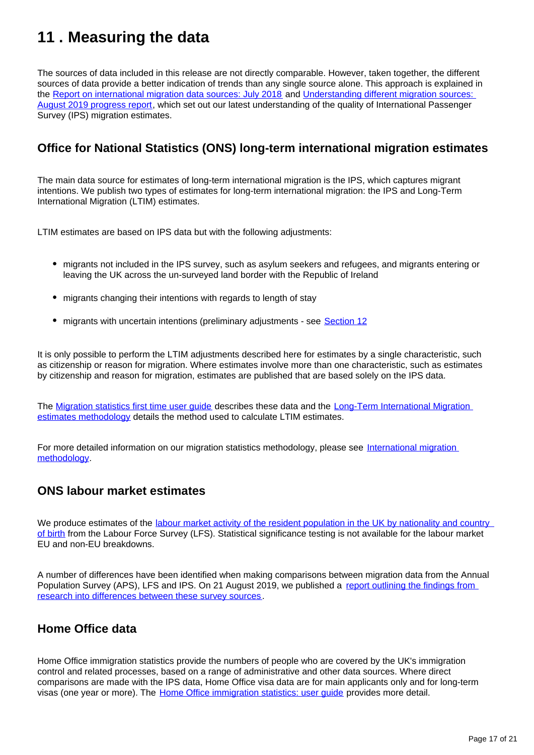## <span id="page-16-0"></span>**11 . Measuring the data**

The sources of data included in this release are not directly comparable. However, taken together, the different sources of data provide a better indication of trends than any single source alone. This approach is explained in the [Report on international migration data sources: July 2018](https://www.ons.gov.uk/peoplepopulationandcommunity/populationandmigration/internationalmigration/articles/reportonthecomplexityandqualityofinternationalmigrationstatistics/july2018) and Understanding different migration sources: [August 2019 progress report](https://www.ons.gov.uk/peoplepopulationandcommunity/populationandmigration/internationalmigration/articles/understandingdifferentmigrationdatasources/augustprogressreport), which set out our latest understanding of the quality of International Passenger Survey (IPS) migration estimates.

## **Office for National Statistics (ONS) long-term international migration estimates**

The main data source for estimates of long-term international migration is the IPS, which captures migrant intentions. We publish two types of estimates for long-term international migration: the IPS and Long-Term International Migration (LTIM) estimates.

LTIM estimates are based on IPS data but with the following adjustments:

- migrants not included in the IPS survey, such as asylum seekers and refugees, and migrants entering or leaving the UK across the un-surveyed land border with the Republic of Ireland
- migrants changing their intentions with regards to length of stay
- migrants with uncertain intentions (preliminary adjustments see [Section 12](https://publishing.ons.gov.uk/peoplepopulationandcommunity/populationandmigration/internationalmigration/bulletins/migrationstatisticsquarterlyreport/august2020#strengths-and-limitations)

It is only possible to perform the LTIM adjustments described here for estimates by a single characteristic, such as citizenship or reason for migration. Where estimates involve more than one characteristic, such as estimates by citizenship and reason for migration, estimates are published that are based solely on the IPS data.

The [Migration statistics first time user guide](https://www.ons.gov.uk/peoplepopulationandcommunity/populationandmigration/internationalmigration/methodologies/migrationstatisticsfirsttimeuserguideglossaryandlistofproducts) describes these data and the Long-Term International Migration [estimates methodology](https://www.ons.gov.uk/peoplepopulationandcommunity/populationandmigration/internationalmigration/methodologies/longterminternationalmigrationestimatesmethodology) details the method used to calculate LTIM estimates.

For more detailed information on our migration statistics methodology, please see [International migration](https://www.ons.gov.uk/peoplepopulationandcommunity/populationandmigration/internationalmigration/methodologies/internationalmigrationmethodology)  [methodology.](https://www.ons.gov.uk/peoplepopulationandcommunity/populationandmigration/internationalmigration/methodologies/internationalmigrationmethodology)

### **ONS labour market estimates**

We produce estimates of the labour market activity of the resident population in the UK by nationality and country [of birth](https://www.ons.gov.uk/employmentandlabourmarket/peopleinwork/employmentandemployeetypes/articles/ukandnonukpeopleinthelabourmarket/latest) from the Labour Force Survey (LFS). Statistical significance testing is not available for the labour market EU and non-EU breakdowns.

A number of differences have been identified when making comparisons between migration data from the Annual Population Survey (APS), LFS and IPS. On 21 August 2019, we published a report outlining the findings from [research into differences between these survey sources](https://www.ons.gov.uk/peoplepopulationandcommunity/populationandmigration/internationalmigration/articles/understandingdifferentmigrationdatasources/augustprogressreport).

## **Home Office data**

Home Office immigration statistics provide the numbers of people who are covered by the UK's immigration control and related processes, based on a range of administrative and other data sources. Where direct comparisons are made with the IPS data, Home Office visa data are for main applicants only and for long-term visas (one year or more). The Home Office immigration statistics: user quide provides more detail.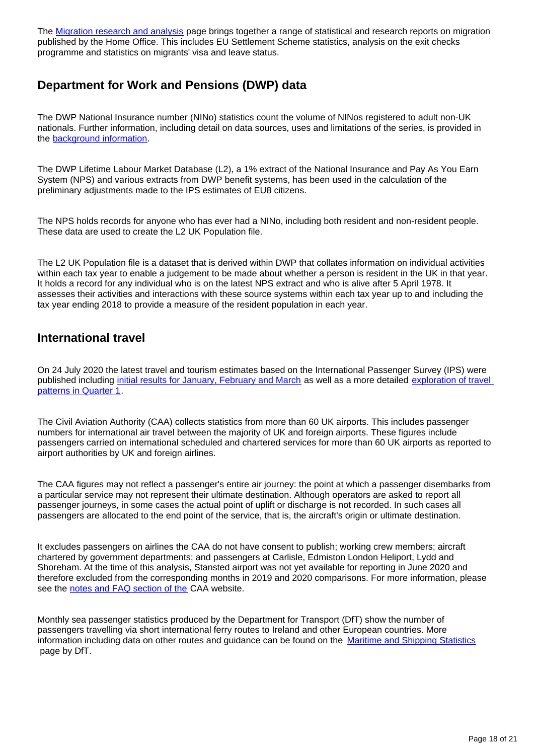The [Migration research and analysis](https://www.gov.uk/government/collections/migration-research-and-analysis) page brings together a range of statistical and research reports on migration published by the Home Office. This includes EU Settlement Scheme statistics, analysis on the exit checks programme and statistics on migrants' visa and leave status.

## **Department for Work and Pensions (DWP) data**

The DWP National Insurance number (NINo) statistics count the volume of NINos registered to adult non-UK nationals. Further information, including detail on data sources, uses and limitations of the series, is provided in the [background information](https://www.gov.uk/government/statistics/nino-allocations-to-adult-overseas-nationals-entering-the-uk-background-information).

The DWP Lifetime Labour Market Database (L2), a 1% extract of the National Insurance and Pay As You Earn System (NPS) and various extracts from DWP benefit systems, has been used in the calculation of the preliminary adjustments made to the IPS estimates of EU8 citizens.

The NPS holds records for anyone who has ever had a NINo, including both resident and non-resident people. These data are used to create the L2 UK Population file.

The L2 UK Population file is a dataset that is derived within DWP that collates information on individual activities within each tax year to enable a judgement to be made about whether a person is resident in the UK in that year. It holds a record for any individual who is on the latest NPS extract and who is alive after 5 April 1978. It assesses their activities and interactions with these source systems within each tax year up to and including the tax year ending 2018 to provide a measure of the resident population in each year.

### **International travel**

On 24 July 2020 the latest travel and tourism estimates based on the International Passenger Survey (IPS) were published including [initial results for January, February and March](https://www.ons.gov.uk/peoplepopulationandcommunity/leisureandtourism/bulletins/overseastravelandtourism/januaryfebruaryandmarch2020provisionalresults) as well as a more detailed [exploration of travel](https://www.ons.gov.uk/peoplepopulationandcommunity/leisureandtourism/articles/overseastravelandtourismprovisionalresults/januarytomarch2020)  [patterns in Quarter 1.](https://www.ons.gov.uk/peoplepopulationandcommunity/leisureandtourism/articles/overseastravelandtourismprovisionalresults/januarytomarch2020)

The Civil Aviation Authority (CAA) collects statistics from more than 60 UK airports. This includes passenger numbers for international air travel between the majority of UK and foreign airports. These figures include passengers carried on international scheduled and chartered services for more than 60 UK airports as reported to airport authorities by UK and foreign airlines.

The CAA figures may not reflect a passenger's entire air journey: the point at which a passenger disembarks from a particular service may not represent their ultimate destination. Although operators are asked to report all passenger journeys, in some cases the actual point of uplift or discharge is not recorded. In such cases all passengers are allocated to the end point of the service, that is, the aircraft's origin or ultimate destination.

It excludes passengers on airlines the CAA do not have consent to publish; working crew members; aircraft chartered by government departments; and passengers at Carlisle, Edmiston London Heliport, Lydd and Shoreham. At the time of this analysis, Stansted airport was not yet available for reporting in June 2020 and therefore excluded from the corresponding months in 2019 and 2020 comparisons. For more information, please see the [notes and FAQ section of the](https://www.caa.co.uk/Data-and-analysis/UK-aviation-market/Airports/Datasets/UK-Airport-data/Notes-and-FAQs---UK-airport-data/) CAA website.

Monthly sea passenger statistics produced by the Department for Transport (DfT) show the number of passengers travelling via short international ferry routes to Ireland and other European countries. More information including data on other routes and guidance can be found on the [Maritime and Shipping Statistics](https://www.gov.uk/government/collections/maritime-and-shipping-statistics) page by DfT.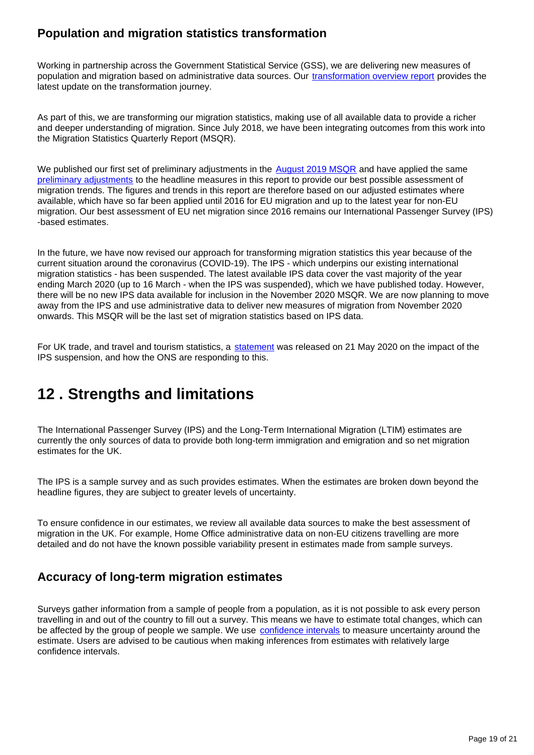## **Population and migration statistics transformation**

Working in partnership across the Government Statistical Service (GSS), we are delivering new measures of population and migration based on administrative data sources. Our [transformation overview report](https://www.ons.gov.uk/peoplepopulationandcommunity/populationandmigration/internationalmigration/articles/transformationofthepopulationandmigrationstatisticssystemoverview/2019-06-21) provides the latest update on the transformation journey.

As part of this, we are transforming our migration statistics, making use of all available data to provide a richer and deeper understanding of migration. Since July 2018, we have been integrating outcomes from this work into the Migration Statistics Quarterly Report (MSQR).

We published our first set of preliminary adjustments in the **August 2019 MSQR** and have applied the same [preliminary adjustments](https://www.ons.gov.uk/peoplepopulationandcommunity/populationandmigration/internationalmigration/articles/understandingdifferentmigrationdatasources/augustprogressreport) to the headline measures in this report to provide our best possible assessment of migration trends. The figures and trends in this report are therefore based on our adjusted estimates where available, which have so far been applied until 2016 for EU migration and up to the latest year for non-EU migration. Our best assessment of EU net migration since 2016 remains our International Passenger Survey (IPS) -based estimates.

In the future, we have now revised our approach for transforming migration statistics this year because of the current situation around the coronavirus (COVID-19). The IPS - which underpins our existing international migration statistics - has been suspended. The latest available IPS data cover the vast majority of the year ending March 2020 (up to 16 March - when the IPS was suspended), which we have published today. However, there will be no new IPS data available for inclusion in the November 2020 MSQR. We are now planning to move away from the IPS and use administrative data to deliver new measures of migration from November 2020 onwards. This MSQR will be the last set of migration statistics based on IPS data.

For UK trade, and travel and tourism statistics, a [statement](https://www.ons.gov.uk/news/statementsandletters/theimpactofsuspendingtheinternationalpassengersurveyonuktradeandoverseastravelandtourismstatistics) was released on 21 May 2020 on the impact of the IPS suspension, and how the ONS are responding to this.

## <span id="page-18-0"></span>**12 . Strengths and limitations**

The International Passenger Survey (IPS) and the Long-Term International Migration (LTIM) estimates are currently the only sources of data to provide both long-term immigration and emigration and so net migration estimates for the UK.

The IPS is a sample survey and as such provides estimates. When the estimates are broken down beyond the headline figures, they are subject to greater levels of uncertainty.

To ensure confidence in our estimates, we review all available data sources to make the best assessment of migration in the UK. For example, Home Office administrative data on non-EU citizens travelling are more detailed and do not have the known possible variability present in estimates made from sample surveys.

## **Accuracy of long-term migration estimates**

Surveys gather information from a sample of people from a population, as it is not possible to ask every person travelling in and out of the country to fill out a survey. This means we have to estimate total changes, which can be affected by the group of people we sample. We use [confidence intervals](https://www.ons.gov.uk/methodology/methodologytopicsandstatisticalconcepts/uncertaintyandhowwemeasureit#confidence-interval) to measure uncertainty around the estimate. Users are advised to be cautious when making inferences from estimates with relatively large confidence intervals.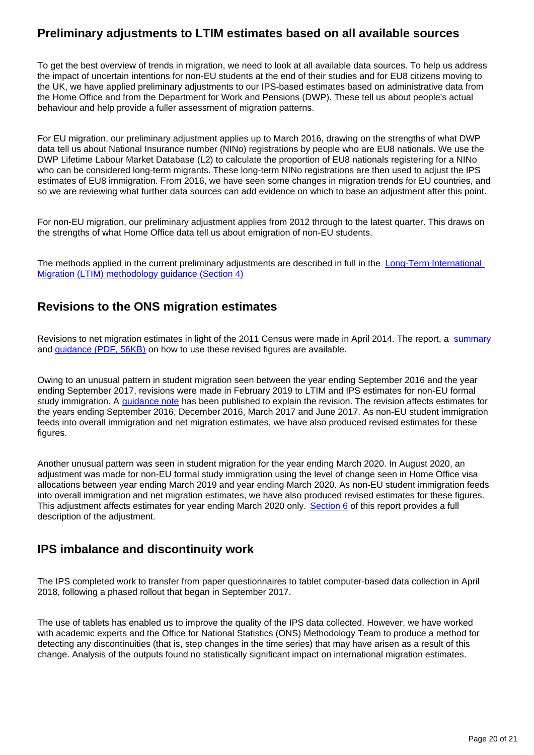## **Preliminary adjustments to LTIM estimates based on all available sources**

To get the best overview of trends in migration, we need to look at all available data sources. To help us address the impact of uncertain intentions for non-EU students at the end of their studies and for EU8 citizens moving to the UK, we have applied preliminary adjustments to our IPS-based estimates based on administrative data from the Home Office and from the Department for Work and Pensions (DWP). These tell us about people's actual behaviour and help provide a fuller assessment of migration patterns.

For EU migration, our preliminary adjustment applies up to March 2016, drawing on the strengths of what DWP data tell us about National Insurance number (NINo) registrations by people who are EU8 nationals. We use the DWP Lifetime Labour Market Database (L2) to calculate the proportion of EU8 nationals registering for a NINo who can be considered long-term migrants. These long-term NINo registrations are then used to adjust the IPS estimates of EU8 immigration. From 2016, we have seen some changes in migration trends for EU countries, and so we are reviewing what further data sources can add evidence on which to base an adjustment after this point.

For non-EU migration, our preliminary adjustment applies from 2012 through to the latest quarter. This draws on the strengths of what Home Office data tell us about emigration of non-EU students.

The methods applied in the current preliminary adjustments are described in full in the Long-Term International [Migration \(LTIM\) methodology guidance \(Section 4\)](https://www.ons.gov.uk/peoplepopulationandcommunity/populationandmigration/internationalmigration/methodologies/longterminternationalmigrationestimatesmethodology#preliminary-adjustments-to-ltim)

## **Revisions to the ONS migration estimates**

Revisions to net migration estimates in light of the 2011 Census were made in April 2014. The report, a [summary](http://webarchive.nationalarchives.gov.uk/20160106010424/http:/www.ons.gov.uk/ons/rel/migration1/long-term-international-migration/quality-of-long-term-international-migration-estimates-from-2001-to-2011/index.html) and *guidance* (PDF, 56KB) on how to use these revised figures are available.

Owing to an unusual pattern in student migration seen between the year ending September 2016 and the year ending September 2017, revisions were made in February 2019 to LTIM and IPS estimates for non-EU formal study immigration. A [guidance note](https://www.ons.gov.uk/peoplepopulationandcommunity/populationandmigration/internationalmigration/methodologies/guidancenoteforrevisingofficiallongtermnoneustudentmigrationestimatesyearendingseptember2016) has been published to explain the revision. The revision affects estimates for the years ending September 2016, December 2016, March 2017 and June 2017. As non-EU student immigration feeds into overall immigration and net migration estimates, we have also produced revised estimates for these figures.

Another unusual pattern was seen in student migration for the year ending March 2020. In August 2020, an adjustment was made for non-EU formal study immigration using the level of change seen in Home Office visa allocations between year ending March 2019 and year ending March 2020. As non-EU student immigration feeds into overall immigration and net migration estimates, we have also produced revised estimates for these figures. This adjustment affects estimates for year ending March 2020 only. [Section 6](https://www.ons.gov.uk/peoplepopulationandcommunity/populationandmigration/internationalmigration/bulletins/migrationstatisticsquarterlyreport/august2020#non-uk-student-immigration-to-the-uk) of this report provides a full description of the adjustment.

## **IPS imbalance and discontinuity work**

The IPS completed work to transfer from paper questionnaires to tablet computer-based data collection in April 2018, following a phased rollout that began in September 2017.

The use of tablets has enabled us to improve the quality of the IPS data collected. However, we have worked with academic experts and the Office for National Statistics (ONS) Methodology Team to produce a method for detecting any discontinuities (that is, step changes in the time series) that may have arisen as a result of this change. Analysis of the outputs found no statistically significant impact on international migration estimates.